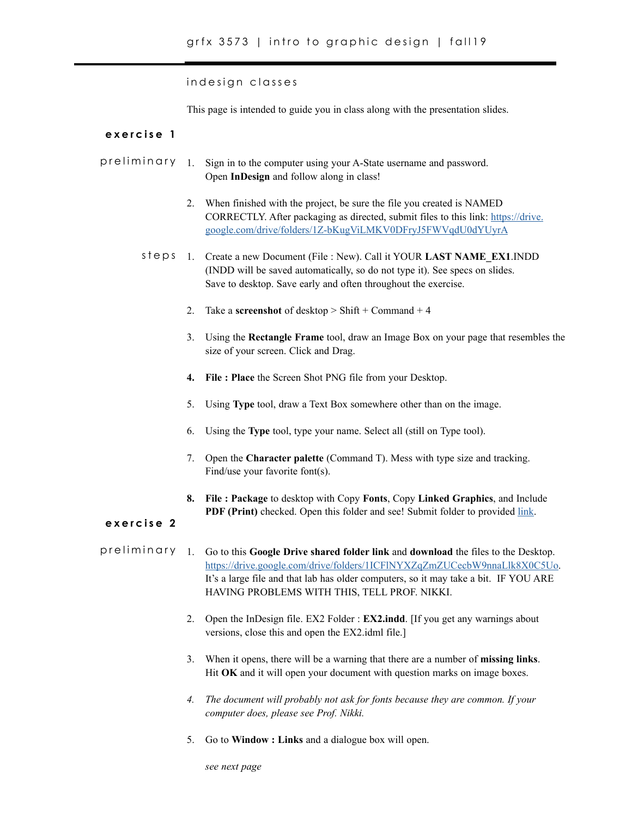indesign classes

This page is intended to guide you in class along with the presentation slides.

## **exercise 1**

- 1. Sign in to the computer using your A-State username and password. Open **InDesign** and follow along in class! preliminary
	- 2. When finished with the project, be sure the file you created is NAMED CORRECTLY. After packaging as directed, submit files to this link: [https://drive.](https://drive.google.com/drive/folders/1Z-bKugViLMKV0DFryJ5FWVqdU0dYUyrA) [google.com/drive/folders/1Z-bKugViLMKV0DFryJ5FWVqdU0dYUyrA](https://drive.google.com/drive/folders/1Z-bKugViLMKV0DFryJ5FWVqdU0dYUyrA)
	- steps 1. Create a new Document (File : New). Call it YOUR LAST NAME\_EX1.INDD (INDD will be saved automatically, so do not type it). See specs on slides. Save to desktop. Save early and often throughout the exercise.
		- 2. Take a **screenshot** of desktop > Shift + Command + 4
		- 3. Using the **Rectangle Frame** tool, draw an Image Box on your page that resembles the size of your screen. Click and Drag.
		- **4. File : Place** the Screen Shot PNG file from your Desktop.
		- 5. Using **Type** tool, draw a Text Box somewhere other than on the image.
		- 6. Using the **Type** tool, type your name. Select all (still on Type tool).
		- 7. Open the **Character palette** (Command T). Mess with type size and tracking. Find/use your favorite font(s).
		- **8. File : Package** to desktop with Copy **Fonts**, Copy **Linked Graphics**, and Include **PDF (Print)** checked. Open this folder and see! Submit folder to provided [link](https://drive.google.com/drive/folders/1Z-bKugViLMKV0DFryJ5FWVqdU0dYUyrA).

## **exercise 2**

- 1. Go to this **Google Drive shared folder link** and **download** the files to the Desktop. https://drive.google.com/drive/folders/1ICFlNYXZqZmZUCecbW9nnaLlk8X0C5Uo. It's a large file and that lab has older computers, so it may take a bit. IF YOU ARE HAVING PROBLEMS WITH THIS, TELL PROF. NIKKI. preliminary
	- 2. Open the InDesign file. EX2 Folder : **EX2.indd**. [If you get any warnings about versions, close this and open the EX2.idml file.]
	- 3. When it opens, there will be a warning that there are a number of **missing links**. Hit **OK** and it will open your document with question marks on image boxes.
	- *4. The document will probably not ask for fonts because they are common. If your computer does, please see Prof. Nikki.*
	- 5. Go to **Window : Links** and a dialogue box will open.

*see next page*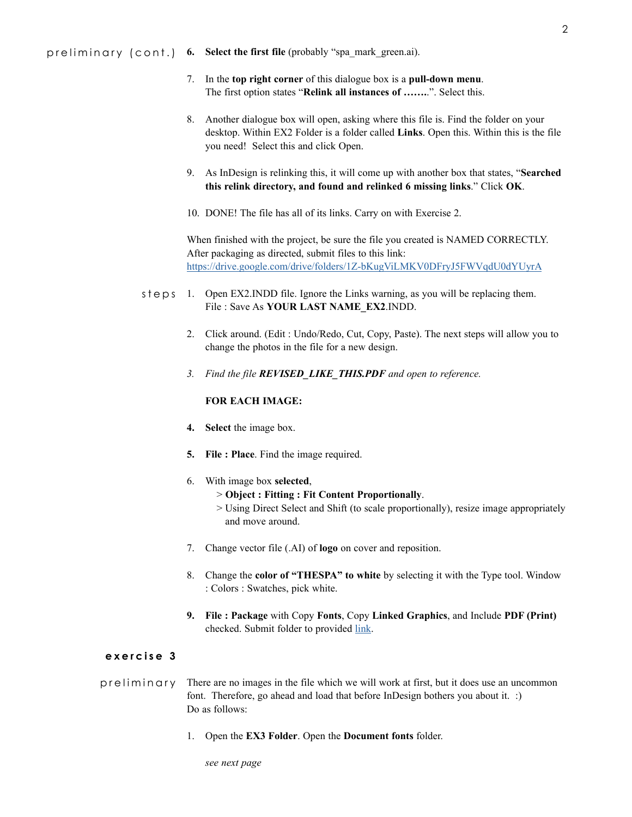preliminary (cont.) **6. Select the first file** (probably "spa\_mark\_green.ai).

- 7. In the **top right corner** of this dialogue box is a **pull-down menu**. The first option states "**Relink all instances of …….**.". Select this.
- 8. Another dialogue box will open, asking where this file is. Find the folder on your desktop. Within EX2 Folder is a folder called **Links**. Open this. Within this is the file you need! Select this and click Open.
- 9. As InDesign is relinking this, it will come up with another box that states, "**Searched this relink directory, and found and relinked 6 missing links**." Click **OK**.
- 10. DONE! The file has all of its links. Carry on with Exercise 2.

When finished with the project, be sure the file you created is NAMED CORRECTLY. After packaging as directed, submit files to this link: https://drive.google.com/drive/folders/1Z-bKugViLMKV0DFryJ5FWVqdU0dYUyrA

- steps 1. Open EX2. INDD file. Ignore the Links warning, as you will be replacing them. File : Save As **YOUR LAST NAME\_EX2**.INDD.
	- 2. Click around. (Edit : Undo/Redo, Cut, Copy, Paste). The next steps will allow you to change the photos in the file for a new design.
	- *3. Find the file REVISED\_LIKE\_THIS.PDF and open to reference.*

## **FOR EACH IMAGE:**

- **4. Select** the image box.
- **5. File : Place**. Find the image required.
- 6. With image box **selected**,
	- > **Object : Fitting : Fit Content Proportionally**.
	- > Using Direct Select and Shift (to scale proportionally), resize image appropriately and move around.
- 7. Change vector file (.AI) of **logo** on cover and reposition.
- 8. Change the **color of "THESPA" to white** by selecting it with the Type tool. Window : Colors : Swatches, pick white.
- **9. File : Package** with Copy **Fonts**, Copy **Linked Graphics**, and Include **PDF (Print)**  checked. Submit folder to provided [link.](https://drive.google.com/drive/folders/1Z-bKugViLMKV0DFryJ5FWVqdU0dYUyrA)

## **exercise 3**

preliminary There are no images in the file which we will work at first, but it does use an uncommon font. Therefore, go ahead and load that before InDesign bothers you about it. :) Do as follows:

1. Open the **EX3 Folder**. Open the **Document fonts** folder.

*see next page*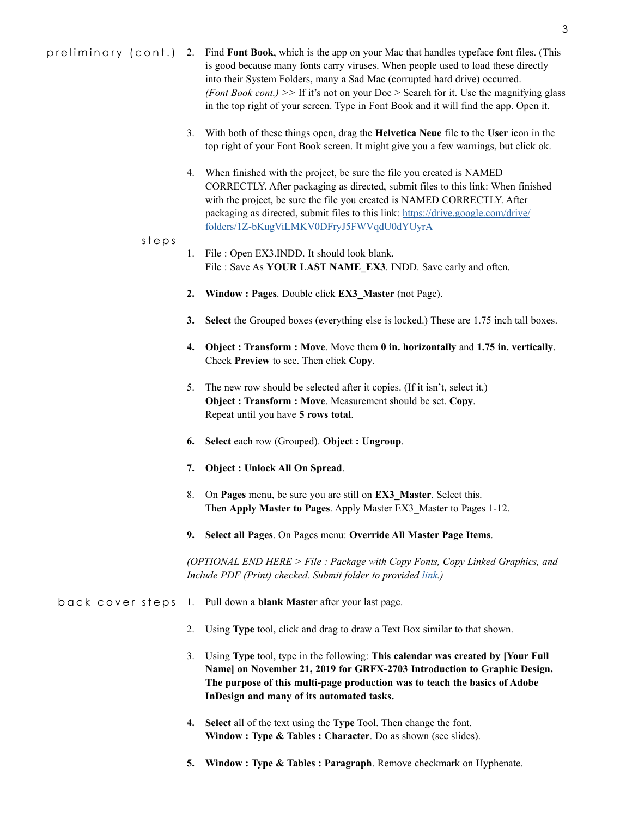- 3. With both of these things open, drag the **Helvetica Neue** file to the **User** icon in the top right of your Font Book screen. It might give you a few warnings, but click ok.
- 4. When finished with the project, be sure the file you created is NAMED CORRECTLY. After packaging as directed, submit files to this link: When finished with the project, be sure the file you created is NAMED CORRECTLY. After packaging as directed, submit files to this link: [https://drive.google.com/drive/](https://drive.google.com/drive/folders/1Z-bKugViLMKV0DFryJ5FWVqdU0dYUyrA) [folders/1Z-bKugViLMKV0DFryJ5FWVqdU0dYUyrA](https://drive.google.com/drive/folders/1Z-bKugViLMKV0DFryJ5FWVqdU0dYUyrA)
- steps
- 1. File : Open EX3.INDD. It should look blank. File : Save As **YOUR LAST NAME\_EX3**. INDD. Save early and often.
- **2. Window : Pages**. Double click **EX3\_Master** (not Page).
- **3. Select** the Grouped boxes (everything else is locked.) These are 1.75 inch tall boxes.
- **4. Object : Transform : Move**. Move them **0 in. horizontally** and **1.75 in. vertically**. Check **Preview** to see. Then click **Copy**.
- 5. The new row should be selected after it copies. (If it isn't, select it.) **Object : Transform : Move**. Measurement should be set. **Copy**. Repeat until you have **5 rows total**.
- **6. Select** each row (Grouped). **Object : Ungroup**.
- **7. Object : Unlock All On Spread**.
- 8. On **Pages** menu, be sure you are still on **EX3\_Master**. Select this. Then **Apply Master to Pages**. Apply Master EX3\_Master to Pages 1-12.
- **9. Select all Pages**. On Pages menu: **Override All Master Page Items**.

*(OPTIONAL END HERE > File : Package with Copy Fonts, Copy Linked Graphics, and Include PDF (Print) checked. Submit folder to provided*  $\frac{link}{ }$ *)* 

- back cover steps 1. Pull down a **blank Master** after your last page.
	- 2. Using **Type** tool, click and drag to draw a Text Box similar to that shown.
	- 3. Using **Type** tool, type in the following: **This calendar was created by [Your Full Name] on November 21, 2019 for GRFX-2703 Introduction to Graphic Design. The purpose of this multi-page production was to teach the basics of Adobe InDesign and many of its automated tasks.**
	- **4. Select** all of the text using the **Type** Tool. Then change the font. **Window : Type & Tables : Character**. Do as shown (see slides).
	- **5. Window : Type & Tables : Paragraph**. Remove checkmark on Hyphenate.